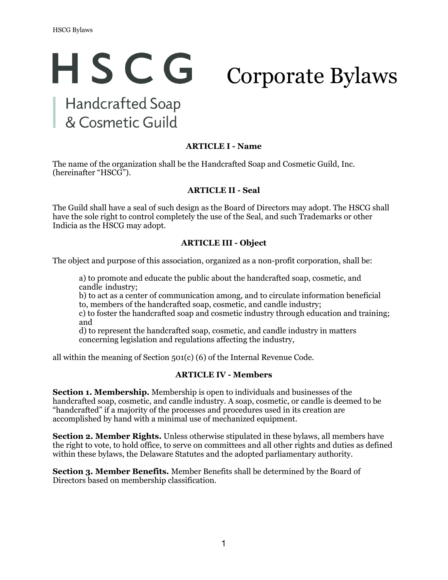# HSCG Corporate BylawsHandcrafted Soap

& Cosmetic Guild

# **ARTICLE I - Name**

The name of the organization shall be the Handcrafted Soap and Cosmetic Guild, Inc. (hereinafter "HSCG").

#### **ARTICLE II - Seal**

The Guild shall have a seal of such design as the Board of Directors may adopt. The HSCG shall have the sole right to control completely the use of the Seal, and such Trademarks or other Indicia as the HSCG may adopt.

#### **ARTICLE III - Object**

The object and purpose of this association, organized as a non-profit corporation, shall be:

a) to promote and educate the public about the handcrafted soap, cosmetic, and candle industry;

b) to act as a center of communication among, and to circulate information beneficial to, members of the handcrafted soap, cosmetic, and candle industry;

c) to foster the handcrafted soap and cosmetic industry through education and training; and

d) to represent the handcrafted soap, cosmetic, and candle industry in matters concerning legislation and regulations affecting the industry,

all within the meaning of Section 501(c) (6) of the Internal Revenue Code.

#### **ARTICLE IV - Members**

**Section 1. Membership.** Membership is open to individuals and businesses of the handcrafted soap, cosmetic, and candle industry. A soap, cosmetic, or candle is deemed to be "handcrafted" if a majority of the processes and procedures used in its creation are accomplished by hand with a minimal use of mechanized equipment.

**Section 2. Member Rights.** Unless otherwise stipulated in these bylaws, all members have the right to vote, to hold office, to serve on committees and all other rights and duties as defined within these bylaws, the Delaware Statutes and the adopted parliamentary authority.

**Section 3. Member Benefits.** Member Benefits shall be determined by the Board of Directors based on membership classification.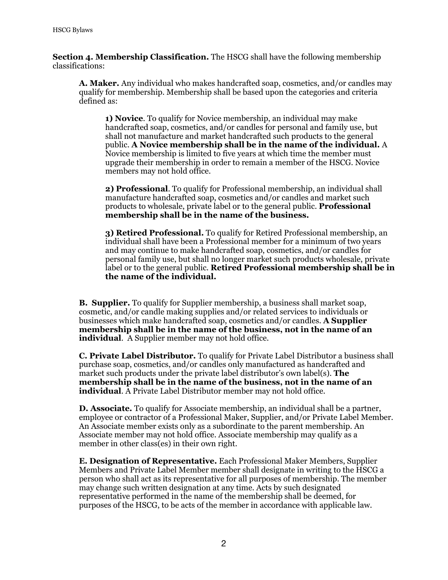**Section 4. Membership Classification.** The HSCG shall have the following membership classifications:

**A. Maker.** Any individual who makes handcrafted soap, cosmetics, and/or candles may qualify for membership. Membership shall be based upon the categories and criteria defined as:

**1) Novice**. To qualify for Novice membership, an individual may make handcrafted soap, cosmetics, and/or candles for personal and family use, but shall not manufacture and market handcrafted such products to the general public. **A Novice membership shall be in the name of the individual.** A Novice membership is limited to five years at which time the member must upgrade their membership in order to remain a member of the HSCG. Novice members may not hold office.

**2) Professional**. To qualify for Professional membership, an individual shall manufacture handcrafted soap, cosmetics and/or candles and market such products to wholesale, private label or to the general public. **Professional membership shall be in the name of the business.**

**3) Retired Professional.** To qualify for Retired Professional membership, an individual shall have been a Professional member for a minimum of two years and may continue to make handcrafted soap, cosmetics, and/or candles for personal family use, but shall no longer market such products wholesale, private label or to the general public. **Retired Professional membership shall be in the name of the individual.**

**B. Supplier.** To qualify for Supplier membership, a business shall market soap, cosmetic, and/or candle making supplies and/or related services to individuals or businesses which make handcrafted soap, cosmetics and/or candles. **A Supplier membership shall be in the name of the business, not in the name of an individual.** A Supplier member may not hold office.

**C. Private Label Distributor.** To qualify for Private Label Distributor a business shall purchase soap, cosmetics, and/or candles only manufactured as handcrafted and market such products under the private label distributor's own label(s). **The membership shall be in the name of the business, not in the name of an individual.** A Private Label Distributor member may not hold office.

**D. Associate.** To qualify for Associate membership, an individual shall be a partner, employee or contractor of a Professional Maker, Supplier, and/or Private Label Member. An Associate member exists only as a subordinate to the parent membership. An Associate member may not hold office. Associate membership may qualify as a member in other class(es) in their own right.

**E. Designation of Representative.** Each Professional Maker Members, Supplier Members and Private Label Member member shall designate in writing to the HSCG a person who shall act as its representative for all purposes of membership. The member may change such written designation at any time. Acts by such designated representative performed in the name of the membership shall be deemed, for purposes of the HSCG, to be acts of the member in accordance with applicable law.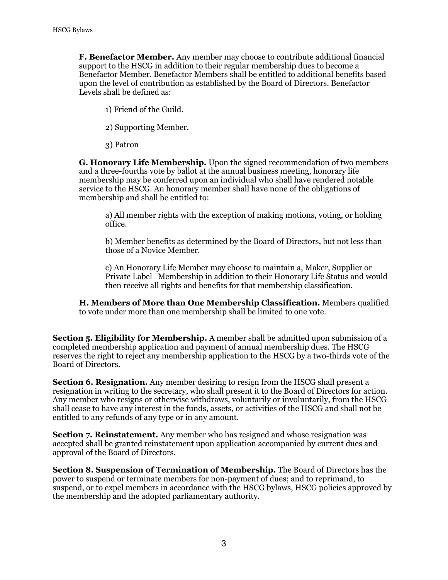**F. Benefactor Member.** Any member may choose to contribute additional financial support to the HSCG in addition to their regular membership dues to become a Benefactor Member. Benefactor Members shall be entitled to additional benefits based upon the level of contribution as established by the Board of Directors. Benefactor Levels shall be defined as:

1) Friend of the Guild.

2) Supporting Member.

3) Patron

**G. Honorary Life Membership.** Upon the signed recommendation of two members and a three-fourths vote by ballot at the annual business meeting, honorary life membership may be conferred upon an individual who shall have rendered notable service to the HSCG. An honorary member shall have none of the obligations of membership and shall be entitled to:

a) All member rights with the exception of making motions, voting, or holding office.

b) Member benefits as determined by the Board of Directors, but not less than those of a Novice Member.

c) An Honorary Life Member may choose to maintain a, Maker, Supplier or Private Label Membership in addition to their Honorary Life Status and would then receive all rights and benefits for that membership classification.

**H. Members of More than One Membership Classification.** Members qualified to vote under more than one membership shall be limited to one vote.

**Section 5. Eligibility for Membership.** A member shall be admitted upon submission of a completed membership application and payment of annual membership dues. The HSCG reserves the right to reject any membership application to the HSCG by a two-thirds vote of the Board of Directors.

**Section 6. Resignation.** Any member desiring to resign from the HSCG shall present a resignation in writing to the secretary, who shall present it to the Board of Directors for action. Any member who resigns or otherwise withdraws, voluntarily or involuntarily, from the HSCG shall cease to have any interest in the funds, assets, or activities of the HSCG and shall not be entitled to any refunds of any type or in any amount.

**Section 7. Reinstatement.** Any member who has resigned and whose resignation was accepted shall be granted reinstatement upon application accompanied by current dues and approval of the Board of Directors.

**Section 8. Suspension of Termination of Membership.** The Board of Directors has the power to suspend or terminate members for non-payment of dues; and to reprimand, to suspend, or to expel members in accordance with the HSCG bylaws, HSCG policies approved by the membership and the adopted parliamentary authority.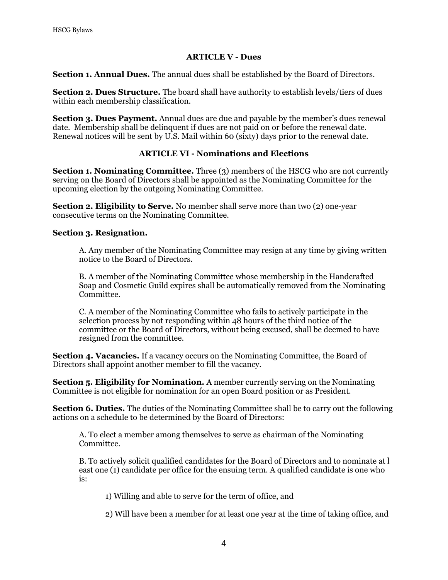#### **ARTICLE V - Dues**

**Section 1. Annual Dues.** The annual dues shall be established by the Board of Directors.

**Section 2. Dues Structure.** The board shall have authority to establish levels/tiers of dues within each membership classification.

**Section 3. Dues Payment.** Annual dues are due and payable by the member's dues renewal date. Membership shall be delinquent if dues are not paid on or before the renewal date. Renewal notices will be sent by U.S. Mail within 60 (sixty) days prior to the renewal date.

# **ARTICLE VI - Nominations and Elections**

**Section 1. Nominating Committee.** Three (3) members of the HSCG who are not currently serving on the Board of Directors shall be appointed as the Nominating Committee for the upcoming election by the outgoing Nominating Committee.

**Section 2. Eligibility to Serve.** No member shall serve more than two (2) one-year consecutive terms on the Nominating Committee.

#### **Section 3. Resignation.**

A. Any member of the Nominating Committee may resign at any time by giving written notice to the Board of Directors.

B. A member of the Nominating Committee whose membership in the Handcrafted Soap and Cosmetic Guild expires shall be automatically removed from the Nominating Committee.

C. A member of the Nominating Committee who fails to actively participate in the selection process by not responding within 48 hours of the third notice of the committee or the Board of Directors, without being excused, shall be deemed to have resigned from the committee.

**Section 4. Vacancies.** If a vacancy occurs on the Nominating Committee, the Board of Directors shall appoint another member to fill the vacancy.

**Section 5. Eligibility for Nomination.** A member currently serving on the Nominating Committee is not eligible for nomination for an open Board position or as President.

**Section 6. Duties.** The duties of the Nominating Committee shall be to carry out the following actions on a schedule to be determined by the Board of Directors:

A. To elect a member among themselves to serve as chairman of the Nominating Committee.

B. To actively solicit qualified candidates for the Board of Directors and to nominate at l east one (1) candidate per office for the ensuing term. A qualified candidate is one who is:

1) Willing and able to serve for the term of office, and

2) Will have been a member for at least one year at the time of taking office, and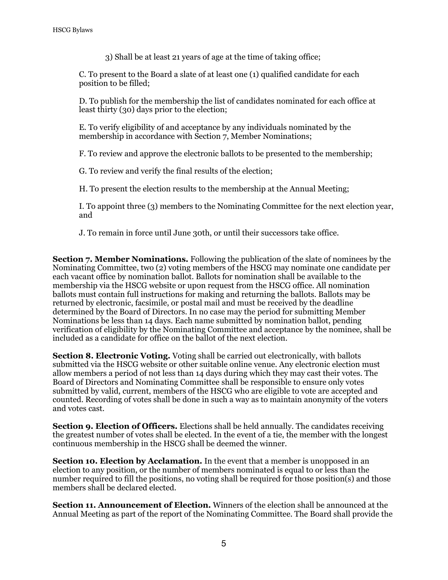3) Shall be at least 21 years of age at the time of taking office;

C. To present to the Board a slate of at least one (1) qualified candidate for each position to be filled;

D. To publish for the membership the list of candidates nominated for each office at least thirty (30) days prior to the election;

E. To verify eligibility of and acceptance by any individuals nominated by the membership in accordance with Section 7, Member Nominations;

F. To review and approve the electronic ballots to be presented to the membership;

G. To review and verify the final results of the election;

H. To present the election results to the membership at the Annual Meeting;

I. To appoint three (3) members to the Nominating Committee for the next election year, and

J. To remain in force until June 30th, or until their successors take office.

**Section 7. Member Nominations.** Following the publication of the slate of nominees by the Nominating Committee, two (2) voting members of the HSCG may nominate one candidate per each vacant office by nomination ballot. Ballots for nomination shall be available to the membership via the HSCG website or upon request from the HSCG office. All nomination ballots must contain full instructions for making and returning the ballots. Ballots may be returned by electronic, facsimile, or postal mail and must be received by the deadline determined by the Board of Directors. In no case may the period for submitting Member Nominations be less than 14 days. Each name submitted by nomination ballot, pending verification of eligibility by the Nominating Committee and acceptance by the nominee, shall be included as a candidate for office on the ballot of the next election.

**Section 8. Electronic Voting.** Voting shall be carried out electronically, with ballots submitted via the HSCG website or other suitable online venue. Any electronic election must allow members a period of not less than 14 days during which they may cast their votes. The Board of Directors and Nominating Committee shall be responsible to ensure only votes submitted by valid, current, members of the HSCG who are eligible to vote are accepted and counted. Recording of votes shall be done in such a way as to maintain anonymity of the voters and votes cast.

**Section 9. Election of Officers.** Elections shall be held annually. The candidates receiving the greatest number of votes shall be elected. In the event of a tie, the member with the longest continuous membership in the HSCG shall be deemed the winner.

**Section 10. Election by Acclamation.** In the event that a member is unopposed in an election to any position, or the number of members nominated is equal to or less than the number required to fill the positions, no voting shall be required for those position(s) and those members shall be declared elected.

**Section 11. Announcement of Election.** Winners of the election shall be announced at the Annual Meeting as part of the report of the Nominating Committee. The Board shall provide the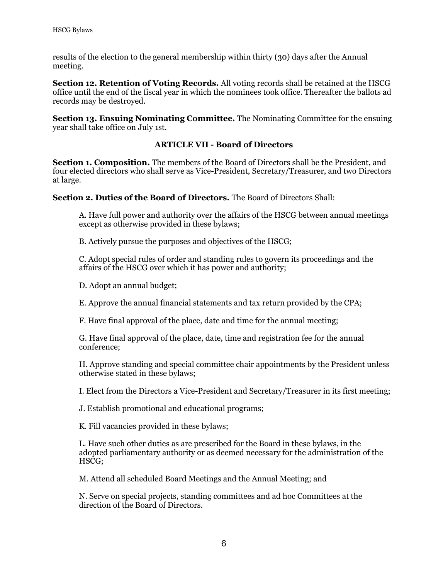results of the election to the general membership within thirty (30) days after the Annual meeting.

**Section 12. Retention of Voting Records.** All voting records shall be retained at the HSCG office until the end of the fiscal year in which the nominees took office. Thereafter the ballots ad records may be destroyed.

**Section 13. Ensuing Nominating Committee.** The Nominating Committee for the ensuing year shall take office on July 1st.

# **ARTICLE VII - Board of Directors**

**Section 1. Composition.** The members of the Board of Directors shall be the President, and four elected directors who shall serve as Vice-President, Secretary/Treasurer, and two Directors at large.

**Section 2. Duties of the Board of Directors.** The Board of Directors Shall:

A. Have full power and authority over the affairs of the HSCG between annual meetings except as otherwise provided in these bylaws;

B. Actively pursue the purposes and objectives of the HSCG;

C. Adopt special rules of order and standing rules to govern its proceedings and the affairs of the HSCG over which it has power and authority;

D. Adopt an annual budget;

E. Approve the annual financial statements and tax return provided by the CPA;

F. Have final approval of the place, date and time for the annual meeting;

G. Have final approval of the place, date, time and registration fee for the annual conference;

H. Approve standing and special committee chair appointments by the President unless otherwise stated in these bylaws;

I. Elect from the Directors a Vice-President and Secretary/Treasurer in its first meeting;

J. Establish promotional and educational programs;

K. Fill vacancies provided in these bylaws;

L. Have such other duties as are prescribed for the Board in these bylaws, in the adopted parliamentary authority or as deemed necessary for the administration of the HSCG;

M. Attend all scheduled Board Meetings and the Annual Meeting; and

N. Serve on special projects, standing committees and ad hoc Committees at the direction of the Board of Directors.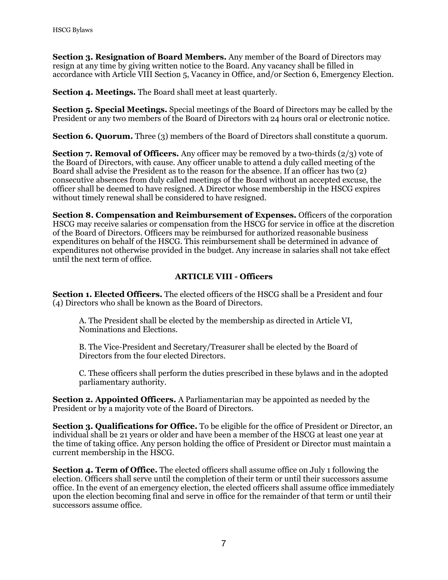**Section 3. Resignation of Board Members.** Any member of the Board of Directors may resign at any time by giving written notice to the Board. Any vacancy shall be filled in accordance with Article VIII Section 5, Vacancy in Office, and/or Section 6, Emergency Election.

**Section 4. Meetings.** The Board shall meet at least quarterly.

**Section 5. Special Meetings.** Special meetings of the Board of Directors may be called by the President or any two members of the Board of Directors with 24 hours oral or electronic notice.

**Section 6. Quorum.** Three (3) members of the Board of Directors shall constitute a quorum.

**Section 7. Removal of Officers.** Any officer may be removed by a two-thirds (2/3) vote of the Board of Directors, with cause. Any officer unable to attend a duly called meeting of the Board shall advise the President as to the reason for the absence. If an officer has two (2) consecutive absences from duly called meetings of the Board without an accepted excuse, the officer shall be deemed to have resigned. A Director whose membership in the HSCG expires without timely renewal shall be considered to have resigned.

**Section 8. Compensation and Reimbursement of Expenses.** Officers of the corporation HSCG may receive salaries or compensation from the HSCG for service in office at the discretion of the Board of Directors. Officers may be reimbursed for authorized reasonable business expenditures on behalf of the HSCG. This reimbursement shall be determined in advance of expenditures not otherwise provided in the budget. Any increase in salaries shall not take effect until the next term of office.

# **ARTICLE VIII - Officers**

**Section 1. Elected Officers.** The elected officers of the HSCG shall be a President and four (4) Directors who shall be known as the Board of Directors.

A. The President shall be elected by the membership as directed in Article VI, Nominations and Elections.

B. The Vice-President and Secretary/Treasurer shall be elected by the Board of Directors from the four elected Directors.

C. These officers shall perform the duties prescribed in these bylaws and in the adopted parliamentary authority.

**Section 2. Appointed Officers.** A Parliamentarian may be appointed as needed by the President or by a majority vote of the Board of Directors.

**Section 3. Qualifications for Office.** To be eligible for the office of President or Director, an individual shall be 21 years or older and have been a member of the HSCG at least one year at the time of taking office. Any person holding the office of President or Director must maintain a current membership in the HSCG.

**Section 4. Term of Office.** The elected officers shall assume office on July 1 following the election. Officers shall serve until the completion of their term or until their successors assume office. In the event of an emergency election, the elected officers shall assume office immediately upon the election becoming final and serve in office for the remainder of that term or until their successors assume office.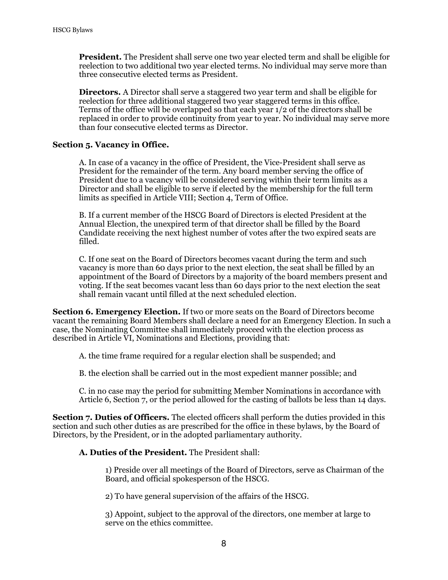**President.** The President shall serve one two year elected term and shall be eligible for reelection to two additional two year elected terms. No individual may serve more than three consecutive elected terms as President.

**Directors.** A Director shall serve a staggered two year term and shall be eligible for reelection for three additional staggered two year staggered terms in this office. Terms of the office will be overlapped so that each year 1/2 of the directors shall be replaced in order to provide continuity from year to year. No individual may serve more than four consecutive elected terms as Director.

# **Section 5. Vacancy in Office.**

A. In case of a vacancy in the office of President, the Vice-President shall serve as President for the remainder of the term. Any board member serving the office of President due to a vacancy will be considered serving within their term limits as a Director and shall be eligible to serve if elected by the membership for the full term limits as specified in Article VIII; Section 4, Term of Office.

B. If a current member of the HSCG Board of Directors is elected President at the Annual Election, the unexpired term of that director shall be filled by the Board Candidate receiving the next highest number of votes after the two expired seats are filled.

C. If one seat on the Board of Directors becomes vacant during the term and such vacancy is more than 60 days prior to the next election, the seat shall be filled by an appointment of the Board of Directors by a majority of the board members present and voting. If the seat becomes vacant less than 60 days prior to the next election the seat shall remain vacant until filled at the next scheduled election.

**Section 6. Emergency Election.** If two or more seats on the Board of Directors become vacant the remaining Board Members shall declare a need for an Emergency Election. In such a case, the Nominating Committee shall immediately proceed with the election process as described in Article VI, Nominations and Elections, providing that:

A. the time frame required for a regular election shall be suspended; and

B. the election shall be carried out in the most expedient manner possible; and

C. in no case may the period for submitting Member Nominations in accordance with Article 6, Section 7, or the period allowed for the casting of ballots be less than 14 days.

**Section 7. Duties of Officers.** The elected officers shall perform the duties provided in this section and such other duties as are prescribed for the office in these bylaws, by the Board of Directors, by the President, or in the adopted parliamentary authority.

# **A. Duties of the President.** The President shall:

1) Preside over all meetings of the Board of Directors, serve as Chairman of the Board, and official spokesperson of the HSCG.

2) To have general supervision of the affairs of the HSCG.

3) Appoint, subject to the approval of the directors, one member at large to serve on the ethics committee.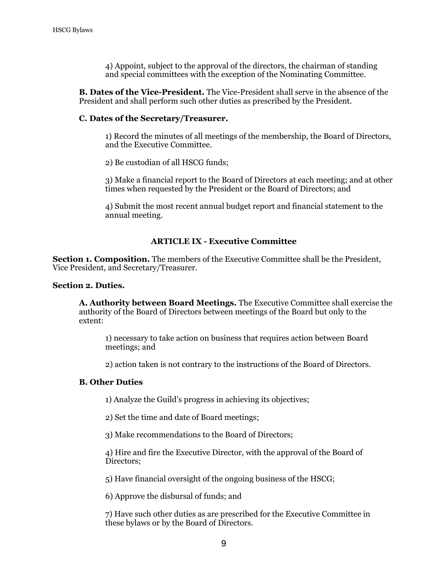4) Appoint, subject to the approval of the directors, the chairman of standing and special committees with the exception of the Nominating Committee.

**B. Dates of the Vice-President.** The Vice-President shall serve in the absence of the President and shall perform such other duties as prescribed by the President.

#### **C. Dates of the Secretary/Treasurer.**

1) Record the minutes of all meetings of the membership, the Board of Directors, and the Executive Committee.

2) Be custodian of all HSCG funds;

3) Make a financial report to the Board of Directors at each meeting; and at other times when requested by the President or the Board of Directors; and

4) Submit the most recent annual budget report and financial statement to the annual meeting.

#### **ARTICLE IX - Executive Committee**

**Section 1. Composition.** The members of the Executive Committee shall be the President, Vice President, and Secretary/Treasurer.

#### **Section 2. Duties.**

**A. Authority between Board Meetings.** The Executive Committee shall exercise the authority of the Board of Directors between meetings of the Board but only to the extent:

1) necessary to take action on business that requires action between Board meetings; and

2) action taken is not contrary to the instructions of the Board of Directors.

#### **B. Other Duties**

1) Analyze the Guild's progress in achieving its objectives;

2) Set the time and date of Board meetings;

3) Make recommendations to the Board of Directors;

4) Hire and fire the Executive Director, with the approval of the Board of Directors;

5) Have financial oversight of the ongoing business of the HSCG;

6) Approve the disbursal of funds; and

7) Have such other duties as are prescribed for the Executive Committee in these bylaws or by the Board of Directors.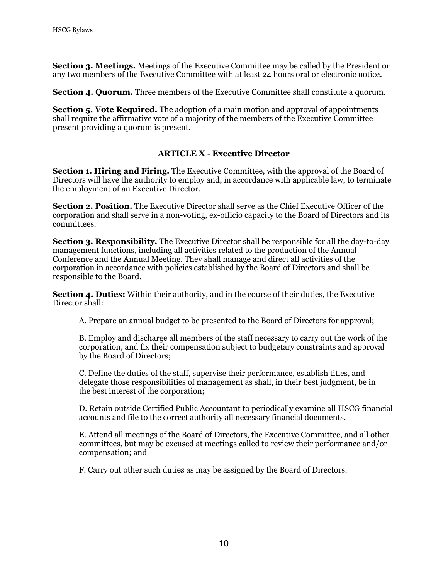**Section 3. Meetings.** Meetings of the Executive Committee may be called by the President or any two members of the Executive Committee with at least 24 hours oral or electronic notice.

**Section 4. Quorum.** Three members of the Executive Committee shall constitute a quorum.

**Section 5. Vote Required.** The adoption of a main motion and approval of appointments shall require the affirmative vote of a majority of the members of the Executive Committee present providing a quorum is present.

#### **ARTICLE X - Executive Director**

**Section 1. Hiring and Firing.** The Executive Committee, with the approval of the Board of Directors will have the authority to employ and, in accordance with applicable law, to terminate the employment of an Executive Director.

**Section 2. Position.** The Executive Director shall serve as the Chief Executive Officer of the corporation and shall serve in a non-voting, ex-officio capacity to the Board of Directors and its committees.

**Section 3. Responsibility.** The Executive Director shall be responsible for all the day-to-day management functions, including all activities related to the production of the Annual Conference and the Annual Meeting. They shall manage and direct all activities of the corporation in accordance with policies established by the Board of Directors and shall be responsible to the Board.

**Section 4. Duties:** Within their authority, and in the course of their duties, the Executive Director shall:

A. Prepare an annual budget to be presented to the Board of Directors for approval;

B. Employ and discharge all members of the staff necessary to carry out the work of the corporation, and fix their compensation subject to budgetary constraints and approval by the Board of Directors;

C. Define the duties of the staff, supervise their performance, establish titles, and delegate those responsibilities of management as shall, in their best judgment, be in the best interest of the corporation;

D. Retain outside Certified Public Accountant to periodically examine all HSCG financial accounts and file to the correct authority all necessary financial documents.

E. Attend all meetings of the Board of Directors, the Executive Committee, and all other committees, but may be excused at meetings called to review their performance and/or compensation; and

F. Carry out other such duties as may be assigned by the Board of Directors.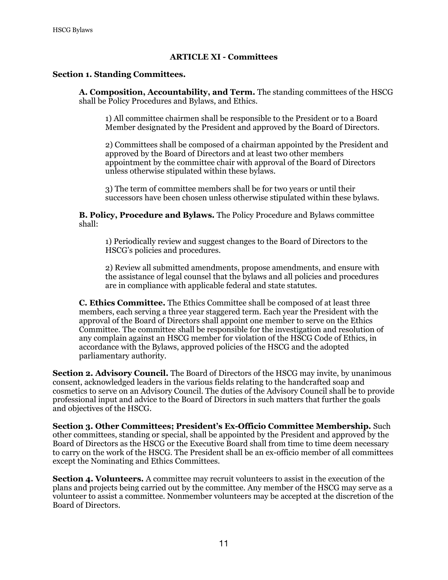# **ARTICLE XI - Committees**

#### **Section 1. Standing Committees.**

**A. Composition, Accountability, and Term.** The standing committees of the HSCG shall be Policy Procedures and Bylaws, and Ethics.

1) All committee chairmen shall be responsible to the President or to a Board Member designated by the President and approved by the Board of Directors.

2) Committees shall be composed of a chairman appointed by the President and approved by the Board of Directors and at least two other members appointment by the committee chair with approval of the Board of Directors unless otherwise stipulated within these bylaws.

3) The term of committee members shall be for two years or until their successors have been chosen unless otherwise stipulated within these bylaws.

**B. Policy, Procedure and Bylaws.** The Policy Procedure and Bylaws committee shall:

1) Periodically review and suggest changes to the Board of Directors to the HSCG's policies and procedures.

2) Review all submitted amendments, propose amendments, and ensure with the assistance of legal counsel that the bylaws and all policies and procedures are in compliance with applicable federal and state statutes.

**C. Ethics Committee.** The Ethics Committee shall be composed of at least three members, each serving a three year staggered term. Each year the President with the approval of the Board of Directors shall appoint one member to serve on the Ethics Committee. The committee shall be responsible for the investigation and resolution of any complain against an HSCG member for violation of the HSCG Code of Ethics, in accordance with the Bylaws, approved policies of the HSCG and the adopted parliamentary authority.

**Section 2. Advisory Council.** The Board of Directors of the HSCG may invite, by unanimous consent, acknowledged leaders in the various fields relating to the handcrafted soap and cosmetics to serve on an Advisory Council. The duties of the Advisory Council shall be to provide professional input and advice to the Board of Directors in such matters that further the goals and objectives of the HSCG.

**Section 3. Other Committees; President's Ex-Officio Committee Membership.** Such other committees, standing or special, shall be appointed by the President and approved by the Board of Directors as the HSCG or the Executive Board shall from time to time deem necessary to carry on the work of the HSCG. The President shall be an ex-officio member of all committees except the Nominating and Ethics Committees.

**Section 4. Volunteers.** A committee may recruit volunteers to assist in the execution of the plans and projects being carried out by the committee. Any member of the HSCG may serve as a volunteer to assist a committee. Nonmember volunteers may be accepted at the discretion of the Board of Directors.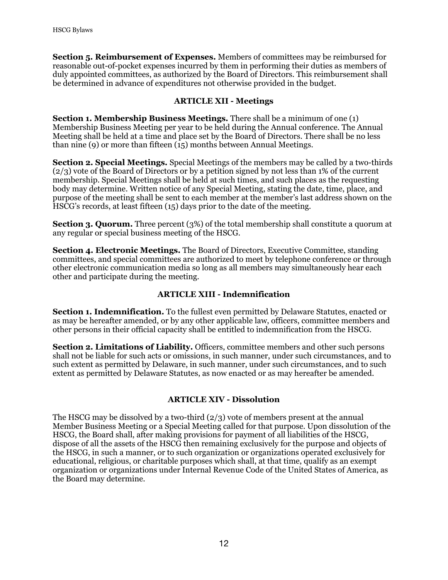**Section 5. Reimbursement of Expenses.** Members of committees may be reimbursed for reasonable out-of-pocket expenses incurred by them in performing their duties as members of duly appointed committees, as authorized by the Board of Directors. This reimbursement shall be determined in advance of expenditures not otherwise provided in the budget.

# **ARTICLE XII - Meetings**

**Section 1. Membership Business Meetings.** There shall be a minimum of one (1) Membership Business Meeting per year to be held during the Annual conference. The Annual Meeting shall be held at a time and place set by the Board of Directors. There shall be no less than nine (9) or more than fifteen (15) months between Annual Meetings.

**Section 2. Special Meetings.** Special Meetings of the members may be called by a two-thirds (2/3) vote of the Board of Directors or by a petition signed by not less than 1% of the current membership. Special Meetings shall be held at such times, and such places as the requesting body may determine. Written notice of any Special Meeting, stating the date, time, place, and purpose of the meeting shall be sent to each member at the member's last address shown on the HSCG's records, at least fifteen (15) days prior to the date of the meeting.

**Section 3. Quorum.** Three percent (3%) of the total membership shall constitute a quorum at any regular or special business meeting of the HSCG.

**Section 4. Electronic Meetings.** The Board of Directors, Executive Committee, standing committees, and special committees are authorized to meet by telephone conference or through other electronic communication media so long as all members may simultaneously hear each other and participate during the meeting.

# **ARTICLE XIII - Indemnification**

**Section 1. Indemnification.** To the fullest even permitted by Delaware Statutes, enacted or as may be hereafter amended, or by any other applicable law, officers, committee members and other persons in their official capacity shall be entitled to indemnification from the HSCG.

**Section 2. Limitations of Liability.** Officers, committee members and other such persons shall not be liable for such acts or omissions, in such manner, under such circumstances, and to such extent as permitted by Delaware, in such manner, under such circumstances, and to such extent as permitted by Delaware Statutes, as now enacted or as may hereafter be amended.

# **ARTICLE XIV - Dissolution**

The HSCG may be dissolved by a two-third  $(2/3)$  vote of members present at the annual Member Business Meeting or a Special Meeting called for that purpose. Upon dissolution of the HSCG, the Board shall, after making provisions for payment of all liabilities of the HSCG, dispose of all the assets of the HSCG then remaining exclusively for the purpose and objects of the HSCG, in such a manner, or to such organization or organizations operated exclusively for educational, religious, or charitable purposes which shall, at that time, qualify as an exempt organization or organizations under Internal Revenue Code of the United States of America, as the Board may determine.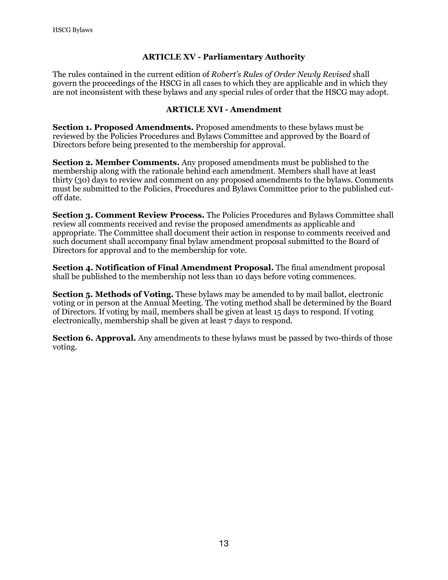# **ARTICLE XV - Parliamentary Authority**

The rules contained in the current edition of *Robert's Rules of Order Newly Revised* shall govern the proceedings of the HSCG in all cases to which they are applicable and in which they are not inconsistent with these bylaws and any special rules of order that the HSCG may adopt.

# **ARTICLE XVI - Amendment**

**Section 1. Proposed Amendments.** Proposed amendments to these bylaws must be reviewed by the Policies Procedures and Bylaws Committee and approved by the Board of Directors before being presented to the membership for approval.

**Section 2. Member Comments.** Any proposed amendments must be published to the membership along with the rationale behind each amendment. Members shall have at least thirty (30) days to review and comment on any proposed amendments to the bylaws. Comments must be submitted to the Policies, Procedures and Bylaws Committee prior to the published cutoff date.

**Section 3. Comment Review Process.** The Policies Procedures and Bylaws Committee shall review all comments received and revise the proposed amendments as applicable and appropriate. The Committee shall document their action in response to comments received and such document shall accompany final bylaw amendment proposal submitted to the Board of Directors for approval and to the membership for vote.

**Section 4. Notification of Final Amendment Proposal.** The final amendment proposal shall be published to the membership not less than 10 days before voting commences.

**Section 5. Methods of Voting.** These bylaws may be amended to by mail ballot, electronic voting or in person at the Annual Meeting. The voting method shall be determined by the Board of Directors. If voting by mail, members shall be given at least 15 days to respond. If voting electronically, membership shall be given at least 7 days to respond.

**Section 6. Approval.** Any amendments to these bylaws must be passed by two-thirds of those voting.